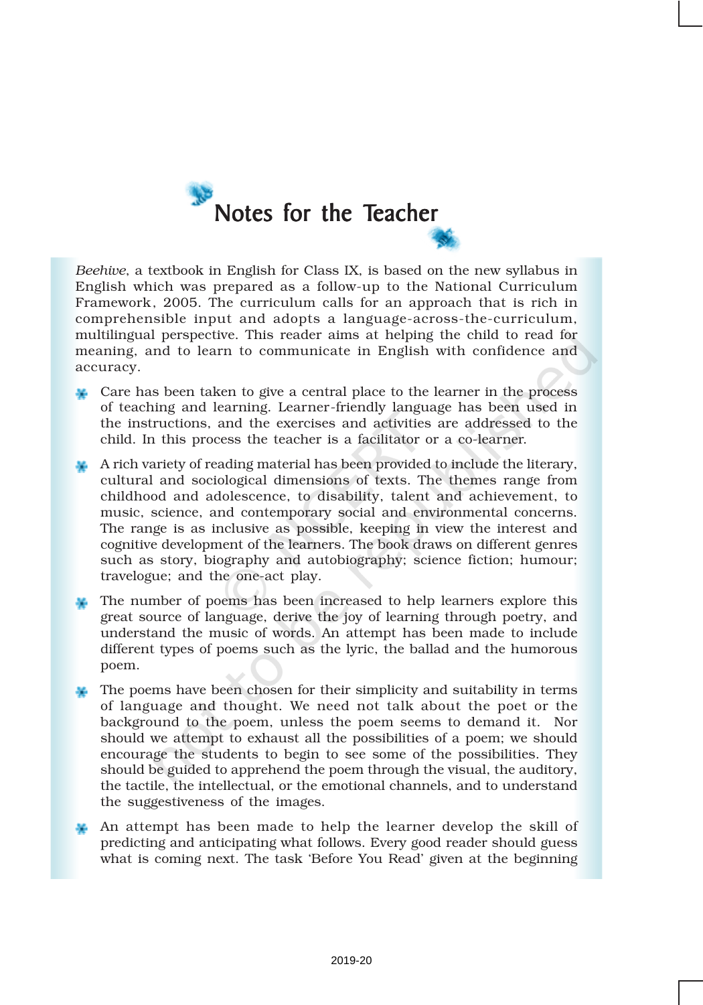

*Beehive*, a textbook in English for Class IX, is based on the new syllabus in English which was prepared as a follow-up to the National Curriculum Framework, 2005. The curriculum calls for an approach that is rich in comprehensible input and adopts a language-across-the-curriculum, multilingual perspective. This reader aims at helping the child to read for meaning, and to learn to communicate in English with confidence and accuracy.

- **Care has been taken to give a central place to the learner in the process** of teaching and learning. Learner-friendly language has been used in the instructions, and the exercises and activities are addressed to the child. In this process the teacher is a facilitator or a co-learner.
- A rich variety of reading material has been provided to include the literary, cultural and sociological dimensions of texts. The themes range from childhood and adolescence, to disability, talent and achievement, to music, science, and contemporary social and environmental concerns. The range is as inclusive as possible, keeping in view the interest and cognitive development of the learners. The book draws on different genres such as story, biography and autobiography; science fiction; humour; travelogue; and the one-act play.
- The number of poems has been increased to help learners explore this great source of language, derive the joy of learning through poetry, and understand the music of words. An attempt has been made to include different types of poems such as the lyric, the ballad and the humorous poem.
- The poems have been chosen for their simplicity and suitability in terms of language and thought. We need not talk about the poet or the background to the poem, unless the poem seems to demand it. Nor should we attempt to exhaust all the possibilities of a poem; we should encourage the students to begin to see some of the possibilities. They should be guided to apprehend the poem through the visual, the auditory, the tactile, the intellectual, or the emotional channels, and to understand the suggestiveness of the images.
- An attempt has been made to help the learner develop the skill of predicting and anticipating what follows. Every good reader should guess what is coming next. The task 'Before You Read' given at the beginning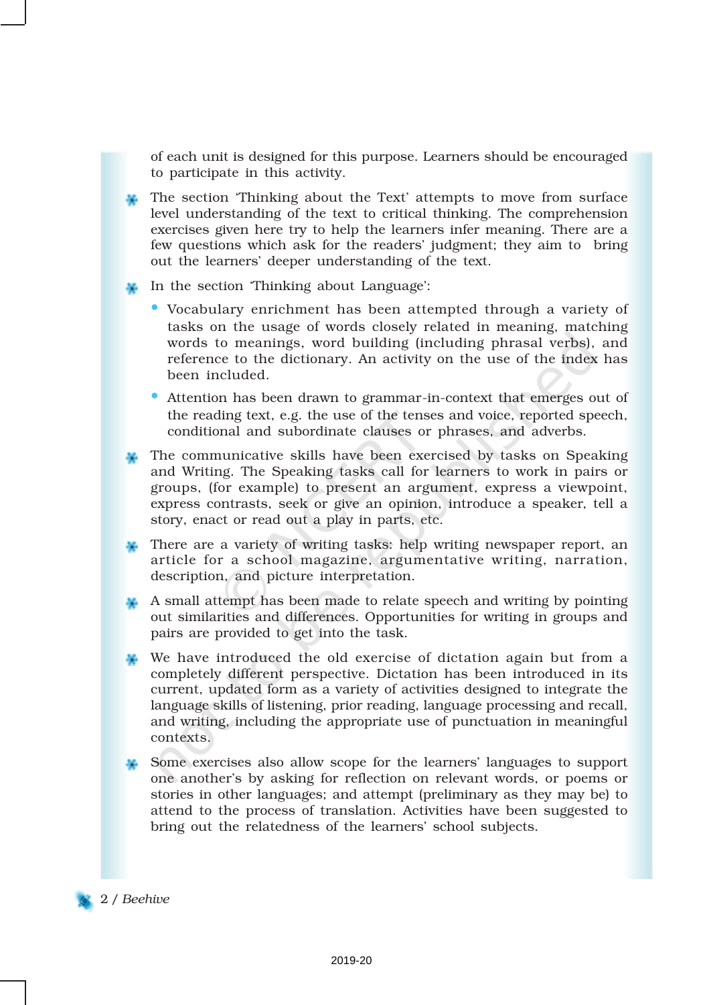of each unit is designed for this purpose. Learners should be encouraged to participate in this activity.

- The section 'Thinking about the Text' attempts to move from surface level understanding of the text to critical thinking. The comprehension exercises given here try to help the learners infer meaning. There are a few questions which ask for the readers' judgment; they aim to bring out the learners' deeper understanding of the text.
- In the section 'Thinking about Language':
	- Vocabulary enrichment has been attempted through a variety of tasks on the usage of words closely related in meaning, matching words to meanings, word building (including phrasal verbs), and reference to the dictionary. An activity on the use of the index has been included.
	- Attention has been drawn to grammar-in-context that emerges out of the reading text, e.g. the use of the tenses and voice, reported speech, conditional and subordinate clauses or phrases, and adverbs.
- The communicative skills have been exercised by tasks on Speaking and Writing. The Speaking tasks call for learners to work in pairs or groups, (for example) to present an argument, express a viewpoint, express contrasts, seek or give an opinion, introduce a speaker, tell a story, enact or read out a play in parts, etc.
- There are a variety of writing tasks: help writing newspaper report, an article for a school magazine, argumentative writing, narration, description, and picture interpretation.
- A small attempt has been made to relate speech and writing by pointing out similarities and differences. Opportunities for writing in groups and pairs are provided to get into the task.
- We have introduced the old exercise of dictation again but from a completely different perspective. Dictation has been introduced in its current, updated form as a variety of activities designed to integrate the language skills of listening, prior reading, language processing and recall, and writing, including the appropriate use of punctuation in meaningful contexts.
- Some exercises also allow scope for the learners' languages to support one another's by asking for reflection on relevant words, or poems or stories in other languages; and attempt (preliminary as they may be) to attend to the process of translation. Activities have been suggested to bring out the relatedness of the learners' school subjects.

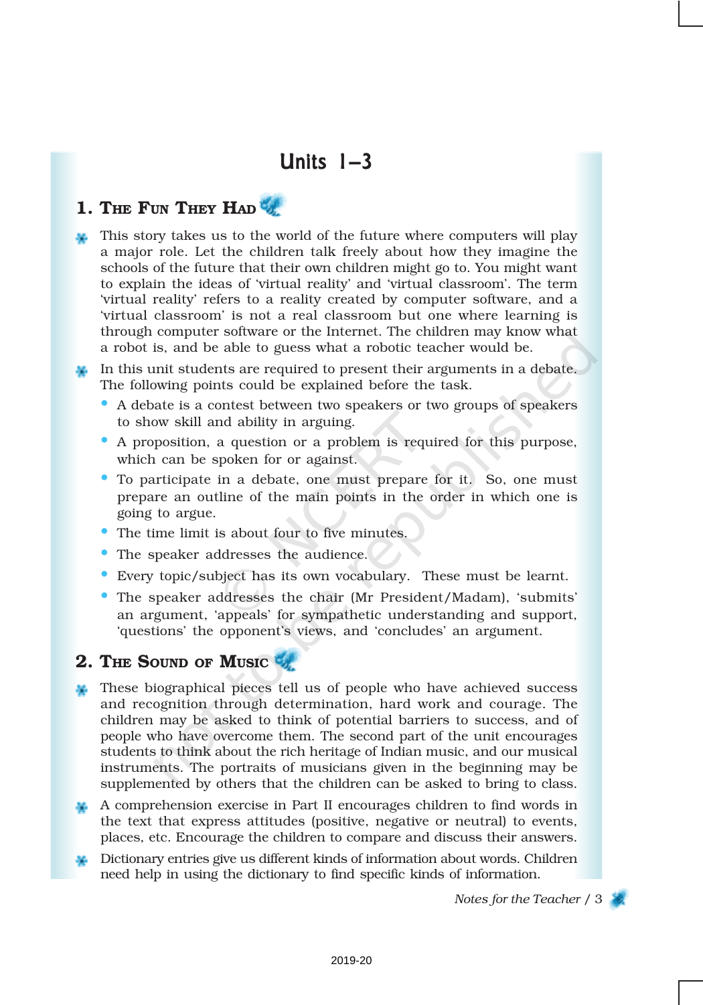# Units  $1-3$

# 1. THE FUN THEY HAD

This story takes us to the world of the future where computers will play a major role. Let the children talk freely about how they imagine the schools of the future that their own children might go to. You might want to explain the ideas of 'virtual reality' and 'virtual classroom'. The term 'virtual reality' refers to a reality created by computer software, and a 'virtual classroom' is not a real classroom but one where learning is through computer software or the Internet. The children may know what a robot is, and be able to guess what a robotic teacher would be.

In this unit students are required to present their arguments in a debate. The following points could be explained before the task.

- A debate is a contest between two speakers or two groups of speakers to show skill and ability in arguing.
- A proposition, a question or a problem is required for this purpose, which can be spoken for or against.
- To participate in a debate, one must prepare for it. So, one must prepare an outline of the main points in the order in which one is going to argue.
- The time limit is about four to five minutes.
- The speaker addresses the audience.
- Every topic/subject has its own vocabulary. These must be learnt.
- The speaker addresses the chair (Mr President/Madam), 'submits' an argument, 'appeals' for sympathetic understanding and support, 'questions' the opponent's views, and 'concludes' an argument.

### 2. THE SOUND OF MUSIC

- These biographical pieces tell us of people who have achieved success and recognition through determination, hard work and courage. The children may be asked to think of potential barriers to success, and of people who have overcome them. The second part of the unit encourages students to think about the rich heritage of Indian music, and our musical instruments. The portraits of musicians given in the beginning may be supplemented by others that the children can be asked to bring to class.
- A comprehension exercise in Part II encourages children to find words in the text that express attitudes (positive, negative or neutral) to events, places, etc. Encourage the children to compare and discuss their answers.
- Dictionary entries give us different kinds of information about words. Children need help in using the dictionary to find specific kinds of information.

*Notes for the Teacher* / 3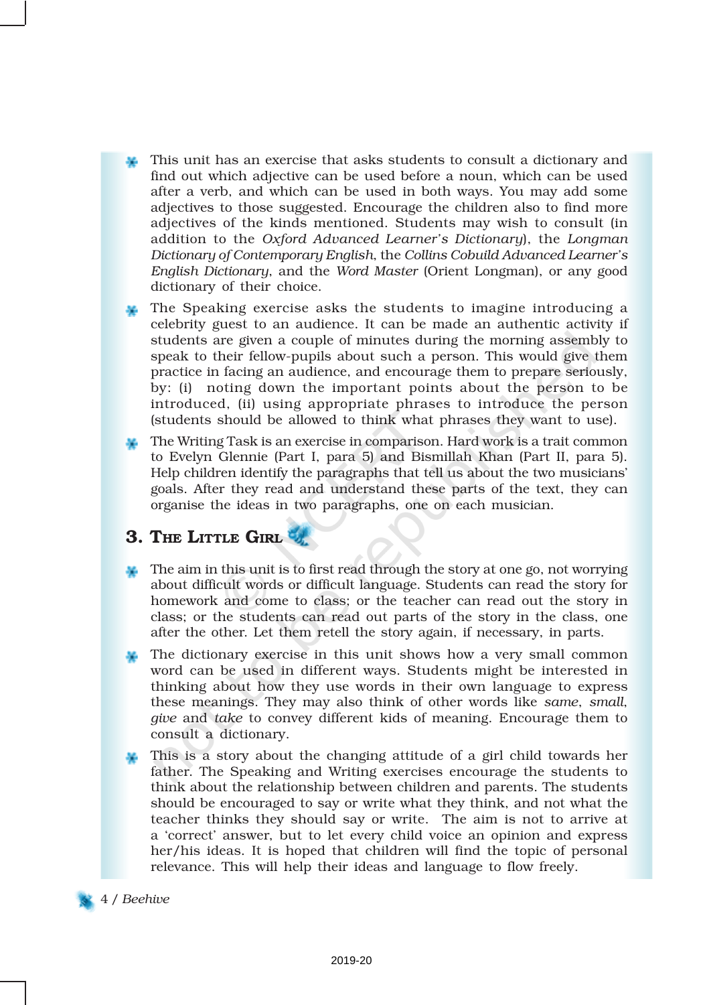- This unit has an exercise that asks students to consult a dictionary and find out which adjective can be used before a noun, which can be used after a verb, and which can be used in both ways. You may add some adjectives to those suggested. Encourage the children also to find more adjectives of the kinds mentioned. Students may wish to consult (in addition to the *Oxford Advanced Learner's Dictionary*), the *Longman Dictionary of Contemporary English*, the *Collins Cobuild Advanced Learner's English Dictionary*, and the *Word Master* (Orient Longman), or any good dictionary of their choice.
- The Speaking exercise asks the students to imagine introducing a celebrity guest to an audience. It can be made an authentic activity if students are given a couple of minutes during the morning assembly to speak to their fellow-pupils about such a person. This would give them practice in facing an audience, and encourage them to prepare seriously, by: (i) noting down the important points about the person to be introduced, (ii) using appropriate phrases to introduce the person (students should be allowed to think what phrases they want to use).
- The Writing Task is an exercise in comparison. Hard work is a trait common to Evelyn Glennie (Part I, para 5) and Bismillah Khan (Part II, para 5). Help children identify the paragraphs that tell us about the two musicians' goals. After they read and understand these parts of the text, they can organise the ideas in two paragraphs, one on each musician.

### 3. THE LITTLE GIRL

- The aim in this unit is to first read through the story at one go, not worrying about difficult words or difficult language. Students can read the story for homework and come to class; or the teacher can read out the story in class; or the students can read out parts of the story in the class, one after the other. Let them retell the story again, if necessary, in parts.
- The dictionary exercise in this unit shows how a very small common word can be used in different ways. Students might be interested in thinking about how they use words in their own language to express these meanings. They may also think of other words like *same*, *small*, *give* and *take* to convey different kids of meaning. Encourage them to consult a dictionary.
- This is a story about the changing attitude of a girl child towards her father. The Speaking and Writing exercises encourage the students to think about the relationship between children and parents. The students should be encouraged to say or write what they think, and not what the teacher thinks they should say or write. The aim is not to arrive at a 'correct' answer, but to let every child voice an opinion and express her/his ideas. It is hoped that children will find the topic of personal relevance. This will help their ideas and language to flow freely.

#### 4 / *Beehive*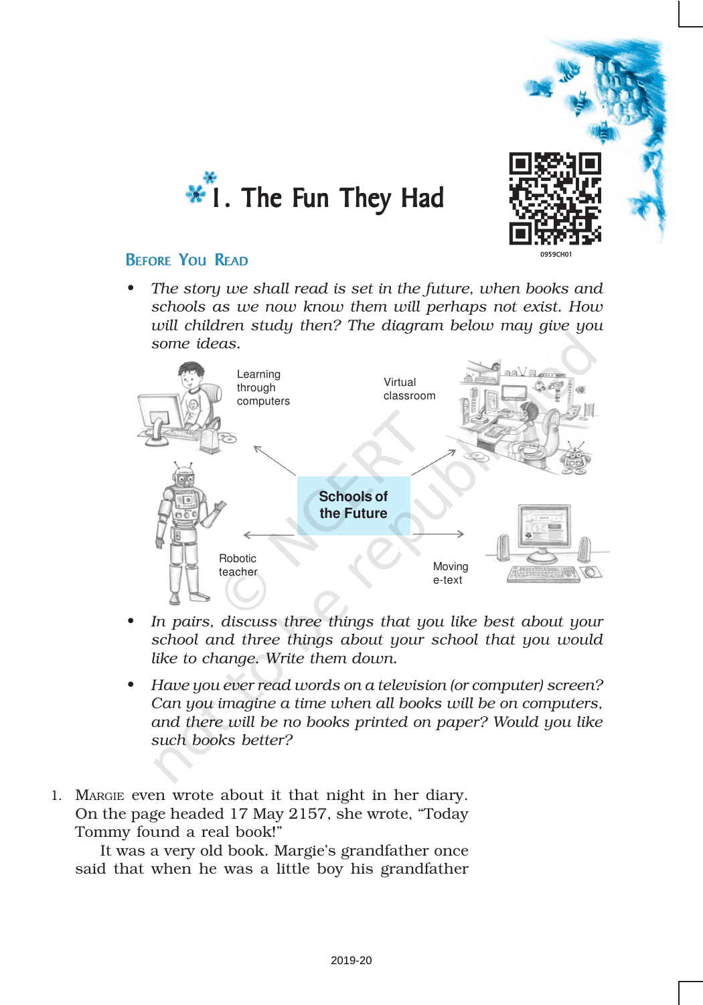



## BEFORE YOU READ

*• The story we shall read is set in the future, when books and schools as we now know them will perhaps not exist. How will children study then? The diagram below may give you some ideas.*



- *• In pairs, discuss three things that you like best about your school and three things about your school that you would like to change. Write them down.*
- *• Have you ever read words on a television (or computer) screen? Can you imagine a time when all books will be on computers, and there will be no books printed on paper? Would you like such books better?*
- 1. MARGIE even wrote about it that night in her diary. On the page headed 17 May 2157, she wrote, "Today Tommy found a real book!"

It was a very old book. Margie's grandfather once said that when he was a little boy his grandfather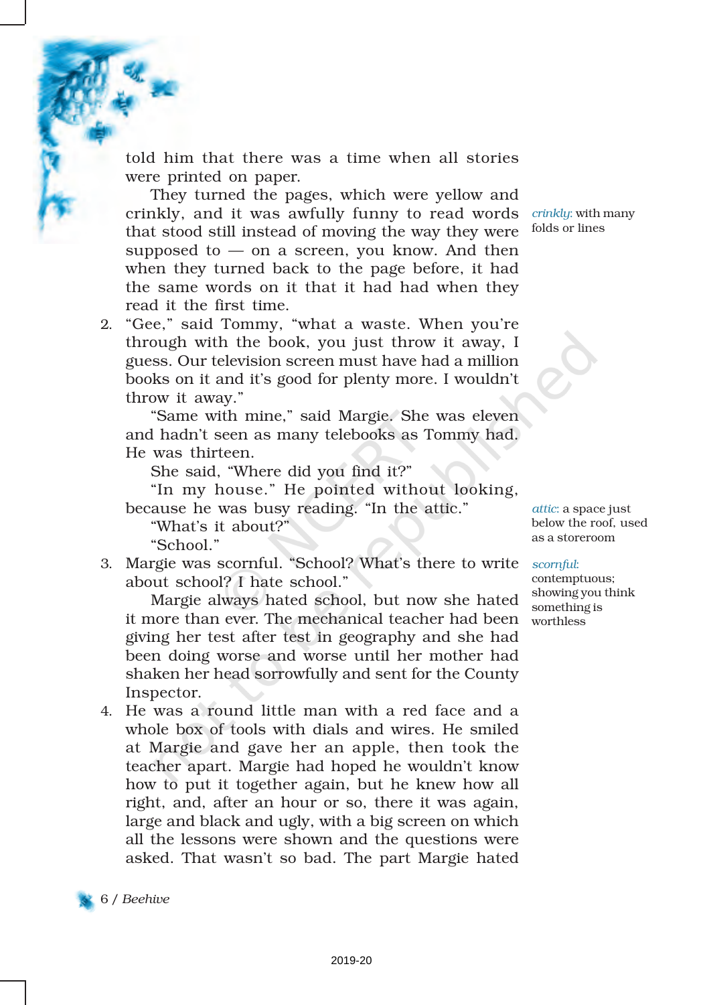told him that there was a time when all stories were printed on paper.

They turned the pages, which were yellow and crinkly, and it was awfully funny to read words *crinkly*: with many that stood still instead of moving the way they were supposed to  $-$  on a screen, you know. And then when they turned back to the page before, it had the same words on it that it had had when they read it the first time.

2. "Gee," said Tommy, "what a waste. When you're through with the book, you just throw it away, I guess. Our television screen must have had a million books on it and it's good for plenty more. I wouldn't throw it away."

"Same with mine," said Margie. She was eleven and hadn't seen as many telebooks as Tommy had. He was thirteen.

She said, "Where did you find it?"

"In my house." He pointed without looking, because he was busy reading. "In the attic."

"What's it about?" "School."

3. Margie was scornful. "School? What's there to write *scornful*: about school? I hate school."

Margie always hated school, but now she hated it more than ever. The mechanical teacher had been worthless giving her test after test in geography and she had been doing worse and worse until her mother had shaken her head sorrowfully and sent for the County Inspector.

4. He was a round little man with a red face and a whole box of tools with dials and wires. He smiled at Margie and gave her an apple, then took the teacher apart. Margie had hoped he wouldn't know how to put it together again, but he knew how all right, and, after an hour or so, there it was again, large and black and ugly, with a big screen on which all the lessons were shown and the questions were asked. That wasn't so bad. The part Margie hated

folds or lines



*attic*: a space just below the roof, used as a storeroom

contemptuous; showing you think something is

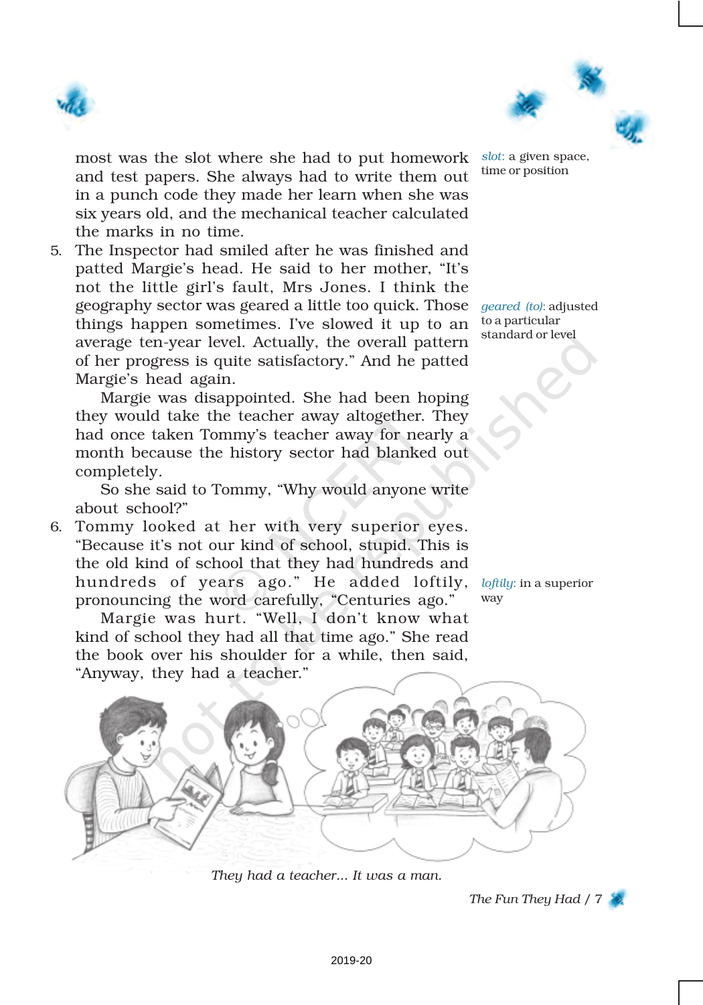



most was the slot where she had to put homework and test papers. She always had to write them out in a punch code they made her learn when she was six years old, and the mechanical teacher calculated the marks in no time.

5. The Inspector had smiled after he was finished and patted Margie's head. He said to her mother, "It's not the little girl's fault, Mrs Jones. I think the geography sector was geared a little too quick. Those *geared (to)*: adjusted things happen sometimes. I've slowed it up to an average ten-year level. Actually, the overall pattern of her progress is quite satisfactory." And he patted Margie's head again.

Margie was disappointed. She had been hoping they would take the teacher away altogether. They had once taken Tommy's teacher away for nearly a month because the history sector had blanked out completely.

So she said to Tommy, "Why would anyone write about school?"

6. Tommy looked at her with very superior eyes. "Because it's not our kind of school, stupid. This is the old kind of school that they had hundreds and hundreds of years ago." He added loftily, pronouncing the word carefully, "Centuries ago."

Margie was hurt. "Well, I don't know what kind of school they had all that time ago." She read the book over his shoulder for a while, then said, "Anyway, they had a teacher."

*slot*: a given space, time or position

to a particular standard or level

*loftily*: in a superior way



*They had a teacher... It was a man.*

*The Fun They Had* / 7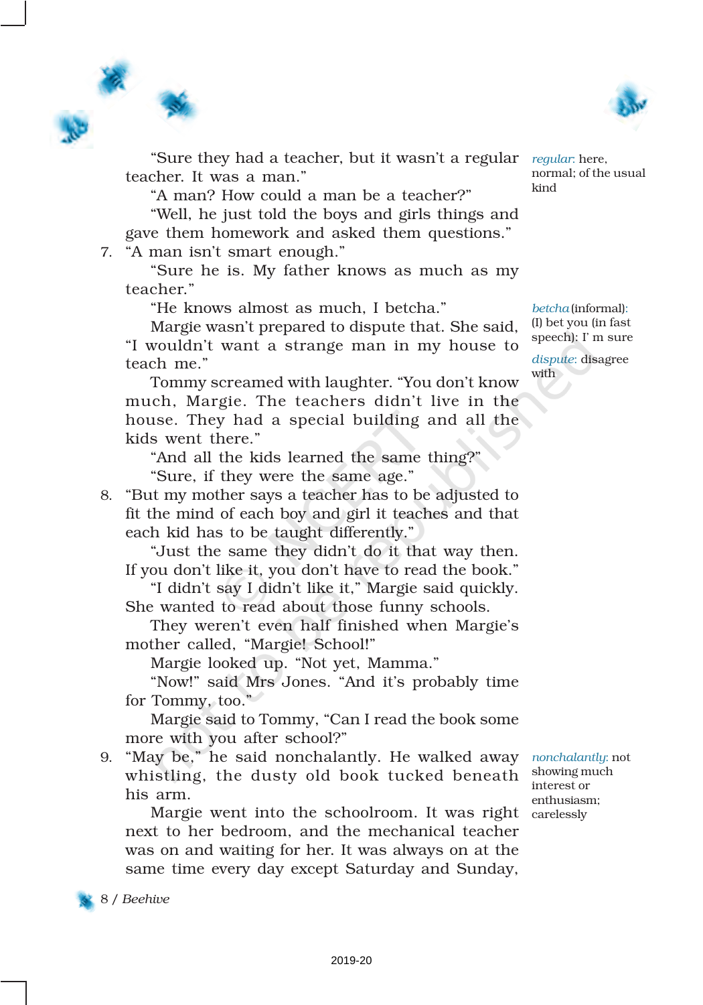



"Sure they had a teacher, but it wasn't a regular teacher. It was a man."

"A man? How could a man be a teacher?"

"Well, he just told the boys and girls things and gave them homework and asked them questions."

7. "A man isn't smart enough."

"Sure he is. My father knows as much as my teacher."

"He knows almost as much, I betcha."

Margie wasn't prepared to dispute that. She said, "I wouldn't want a strange man in my house to teach me."

Tommy screamed with laughter. "You don't know much, Margie. The teachers didn't live in the house. They had a special building and all the kids went there."

"And all the kids learned the same thing?" "Sure, if they were the same age."

8. "But my mother says a teacher has to be adjusted to fit the mind of each boy and girl it teaches and that each kid has to be taught differently."

"Just the same they didn't do it that way then. If you don't like it, you don't have to read the book."

"I didn't say I didn't like it," Margie said quickly. She wanted to read about those funny schools.

They weren't even half finished when Margie's mother called, "Margie! School!"

Margie looked up. "Not yet, Mamma."

"Now!" said Mrs Jones. "And it's probably time for Tommy, too."

Margie said to Tommy, "Can I read the book some more with you after school?"

9. "May be," he said nonchalantly. He walked away *nonchalantly*: not whistling, the dusty old book tucked beneath his arm.

Margie went into the schoolroom. It was right carelessly next to her bedroom, and the mechanical teacher was on and waiting for her. It was always on at the same time every day except Saturday and Sunday,

*regular*: here, normal; of the usual

kind

*betcha* (informal): (I) bet you (in fast speech): I' m sure

*dispute*: disagree with

showing much interest or enthusiasm;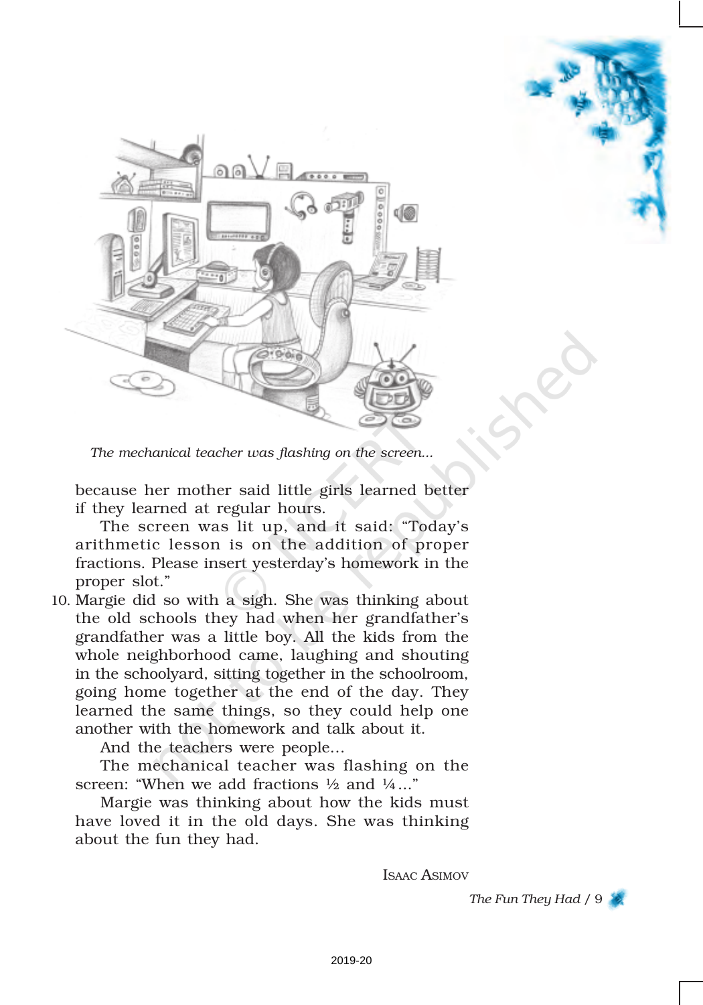

*The mechanical teacher was flashing on the screen...*

because her mother said little girls learned better if they learned at regular hours.

The screen was lit up, and it said: "Today's arithmetic lesson is on the addition of proper fractions. Please insert yesterday's homework in the proper slot."

10. Margie did so with a sigh. She was thinking about the old schools they had when her grandfather's grandfather was a little boy. All the kids from the whole neighborhood came, laughing and shouting in the schoolyard, sitting together in the schoolroom, going home together at the end of the day. They learned the same things, so they could help one another with the homework and talk about it.

And the teachers were people…

The mechanical teacher was flashing on the screen: "When we add fractions  $\frac{1}{2}$  and  $\frac{1}{4}$ ..."

Margie was thinking about how the kids must have loved it in the old days. She was thinking about the fun they had.

ISAAC ASIMOV

*The Fun They Had* / 9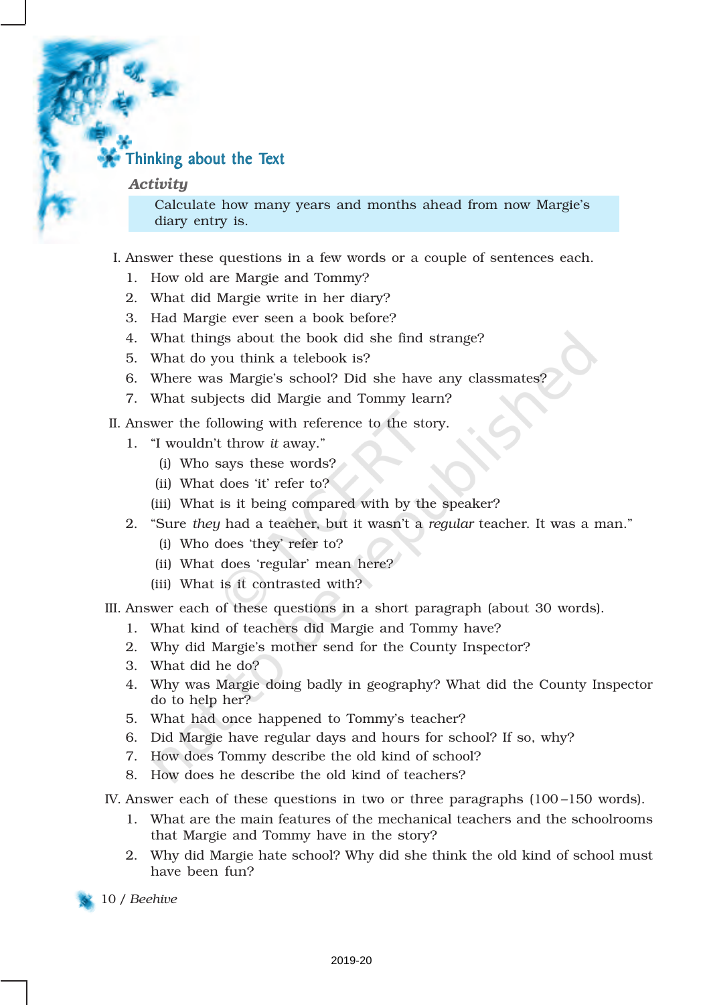## Thinking about the Text

#### *Activity*

Calculate how many years and months ahead from now Margie's diary entry is.

#### I. Answer these questions in a few words or a couple of sentences each.

- 1. How old are Margie and Tommy?
- 2. What did Margie write in her diary?
- 3. Had Margie ever seen a book before?
- 4. What things about the book did she find strange?
- 5. What do you think a telebook is?
- 6. Where was Margie's school? Did she have any classmates?
- 7. What subjects did Margie and Tommy learn?
- II. Answer the following with reference to the story.
	- 1. "I wouldn't throw *it* away."
		- (i) Who says these words?
		- (ii) What does 'it' refer to?
		- (iii) What is it being compared with by the speaker?
	- 2. "Sure *they* had a teacher, but it wasn't a *regular* teacher. It was a man."
		- (i) Who does 'they' refer to?
		- (ii) What does 'regular' mean here?
		- (iii) What is it contrasted with?
- III. Answer each of these questions in a short paragraph (about 30 words).
	- 1. What kind of teachers did Margie and Tommy have?
	- 2. Why did Margie's mother send for the County Inspector?
	- 3. What did he do?
	- 4. Why was Margie doing badly in geography? What did the County Inspector do to help her?
	- 5. What had once happened to Tommy's teacher?
	- 6. Did Margie have regular days and hours for school? If so, why?
	- 7. How does Tommy describe the old kind of school?
	- 8. How does he describe the old kind of teachers?
- IV. Answer each of these questions in two or three paragraphs (100 –150 words).
	- 1. What are the main features of the mechanical teachers and the schoolrooms that Margie and Tommy have in the story?
	- 2. Why did Margie hate school? Why did she think the old kind of school must have been fun?
- 10 / *Beehive*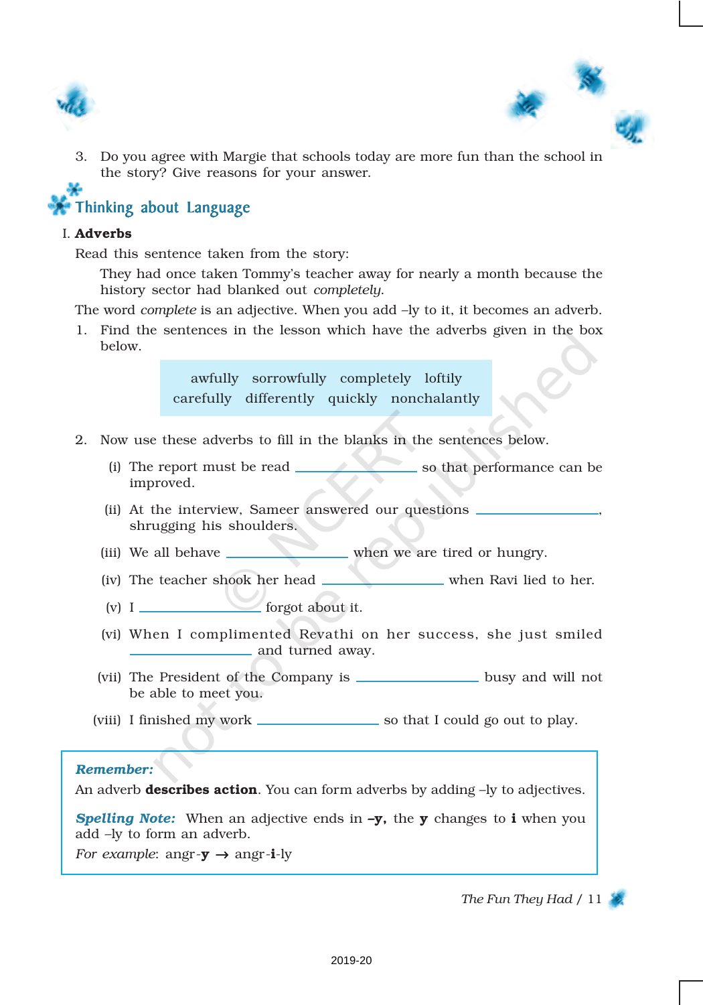



3. Do you agree with Margie that schools today are more fun than the school in the story? Give reasons for your answer.

# Thinking about Language

#### I. Adverbs

Read this sentence taken from the story:

They had once taken Tommy's teacher away for nearly a month because the history sector had blanked out *completely*.

The word *complete* is an adjective. When you add –ly to it, it becomes an adverb.

1. Find the sentences in the lesson which have the adverbs given in the box below.

> awfully sorrowfully completely loftily carefully differently quickly nonchalantly

- 2. Now use these adverbs to fill in the blanks in the sentences below.
	- (i) The report must be read so that performance can be improved.
	- (ii) At the interview, Sameer answered our questions  $\overline{\phantom{a}}$ shrugging his shoulders.
	- (iii) We all behave when we are tired or hungry.
	- (iv) The teacher shook her head when Ravi lied to her.
	- (v) I forgot about it.
	- (vi) When I complimented Revathi on her success, she just smiled and turned away.
	- (vii) The President of the Company is **busy** and will not be able to meet you.
	- (viii) I finished my work so that I could go out to play.

#### *Remember:*

An adverb **describes action**. You can form adverbs by adding  $-ly$  to adjectives.

**Spelling Note:** When an adjective ends in **-y**, the **y** changes to **i** when you add –ly to form an adverb.

*For example*: angr- $\mathbf{y} \rightarrow \text{angr-i-ly}$ 

#### *The Fun They Had* / 11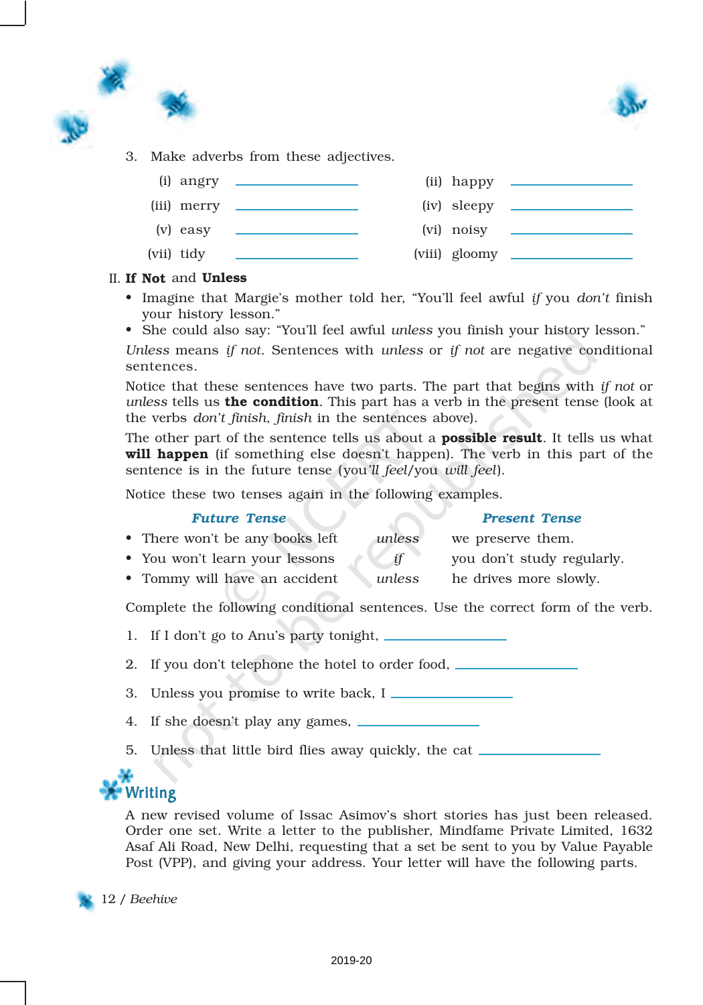



3. Make adverbs from these adjectives.



#### II. If Not and Unless

- Imagine that Margie's mother told her, "You'll feel awful *if* you *don't* finish your history lesson."
- She could also say: "You'll feel awful *unless* you finish your history lesson."

*Unless* means *if not*. Sentences with *unless* or *if not* are negative conditional sentences.

Notice that these sentences have two parts. The part that begins with *if not* or *unless* tells us the condition. This part has a verb in the present tense (look at the verbs *don't finish, finish* in the sentences above).

The other part of the sentence tells us about a **possible result**. It tells us what will happen (if something else doesn't happen). The verb in this part of the sentence is in the future tense (you*'ll feel*/you *will feel*).

Notice these two tenses again in the following examples.

#### *Future Tense Present Tense*

• There won't be any books left *unless* we preserve them. • You won't learn your lessons *if* you don't study regularly. • Tommy will have an accident *unless* he drives more slowly.

Complete the following conditional sentences. Use the correct form of the verb.

1. If I don't go to Anu's party tonight,

2. If you don't telephone the hotel to order food,

- 3. Unless you promise to write back, I
- 4. If she doesn't play any games,
- 5. Unless that little bird flies away quickly, the cat



A new revised volume of Issac Asimov's short stories has just been released. Order one set. Write a letter to the publisher, Mindfame Private Limited, 1632 Asaf Ali Road, New Delhi, requesting that a set be sent to you by Value Payable Post (VPP), and giving your address. Your letter will have the following parts.

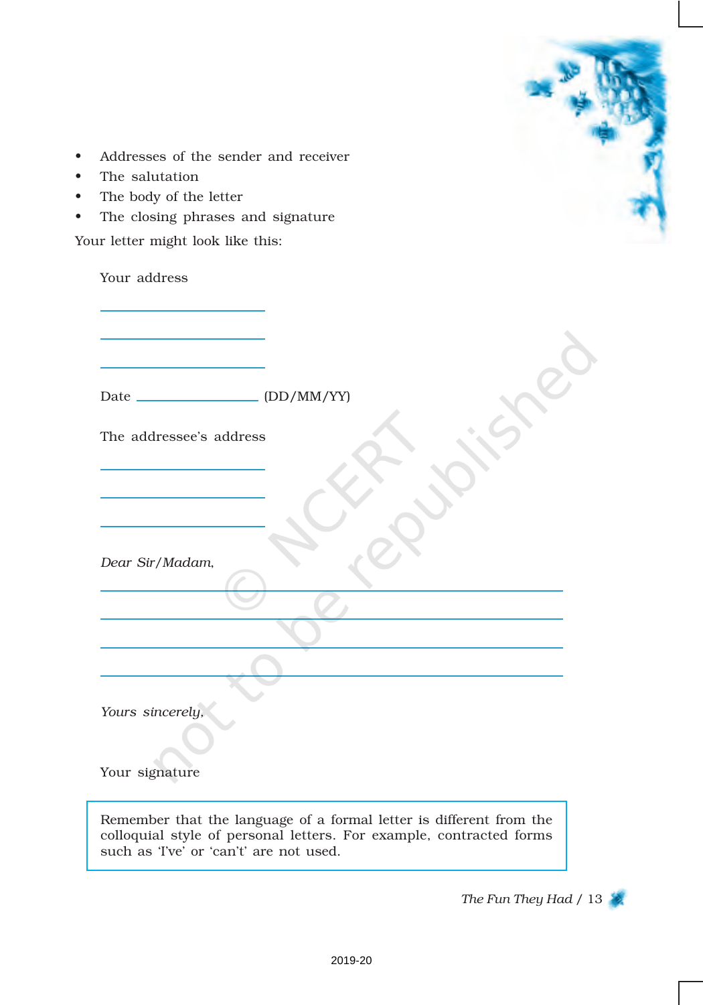| Addresses of the sender and receiver |
|--------------------------------------|
|--------------------------------------|

- The salutation
- The body of the letter
- The closing phrases and signature

Your letter might look like this:

| Your address                            |                                                                     |
|-----------------------------------------|---------------------------------------------------------------------|
|                                         |                                                                     |
|                                         |                                                                     |
| Date _______________________ (DD/MM/YY) |                                                                     |
| The addressee's address                 |                                                                     |
|                                         |                                                                     |
| Dear Sir/Madam,                         |                                                                     |
|                                         |                                                                     |
|                                         |                                                                     |
|                                         |                                                                     |
| Yours sincerely,                        |                                                                     |
| Your signature                          |                                                                     |
|                                         | Remember that the language of a formal letter is different from the |

*The Fun They Had* / 13

colloquial style of personal letters. For example, contracted forms

such as 'I've' or 'can't' are not used.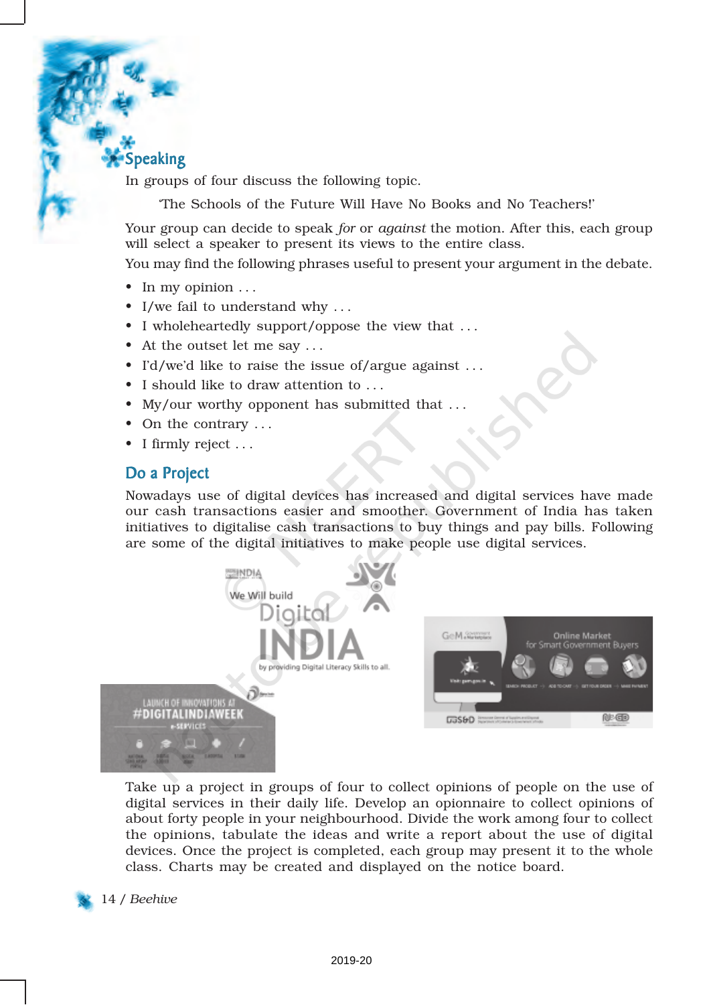# Speaking

In groups of four discuss the following topic.

'The Schools of the Future Will Have No Books and No Teachers!'

Your group can decide to speak *for* or *against* the motion. After this, each group will select a speaker to present its views to the entire class.

You may find the following phrases useful to present your argument in the debate.

- In my opinion  $\dots$
- $\bullet\,$  I/we fail to understand why  $\ldots\,$
- I wholeheartedly support/oppose the view that . . .
- At the outset let me say ...
- I'd/we'd like to raise the issue of/argue against ...
- I should like to draw attention to . . .
- My/our worthy opponent has submitted that ...
- On the contrary  $\dots$
- I firmly reject . . .

### Do a Project

Nowadays use of digital devices has increased and digital services have made our cash transactions easier and smoother. Government of India has taken initiatives to digitalise cash transactions to buy things and pay bills. Following are some of the digital initiatives to make people use digital services.



Take up a project in groups of four to collect opinions of people on the use of digital services in their daily life. Develop an opionnaire to collect opinions of about forty people in your neighbourhood. Divide the work among four to collect the opinions, tabulate the ideas and write a report about the use of digital devices. Once the project is completed, each group may present it to the whole class. Charts may be created and displayed on the notice board.



14 / *Beehive*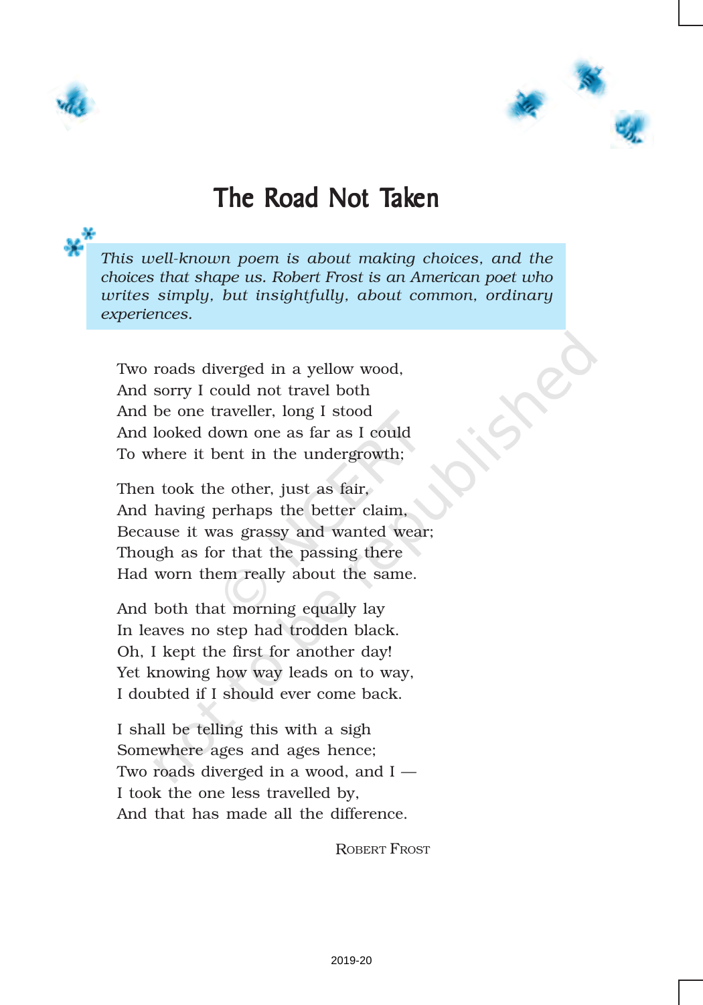



# The Road Not Taken

*This well-known poem is about making choices, and the choices that shape us. Robert Frost is an American poet who writes simply, but insightfully, about common, ordinary experiences.*

Two roads diverged in a yellow wood, And sorry I could not travel both And be one traveller, long I stood And looked down one as far as I could To where it bent in the undergrowth;

Then took the other, just as fair, And having perhaps the better claim, Because it was grassy and wanted wear; Though as for that the passing there Had worn them really about the same.

And both that morning equally lay In leaves no step had trodden black. Oh, I kept the first for another day! Yet knowing how way leads on to way, I doubted if I should ever come back.

I shall be telling this with a sigh Somewhere ages and ages hence; Two roads diverged in a wood, and I — I took the one less travelled by, And that has made all the difference.

ROBERT FROST